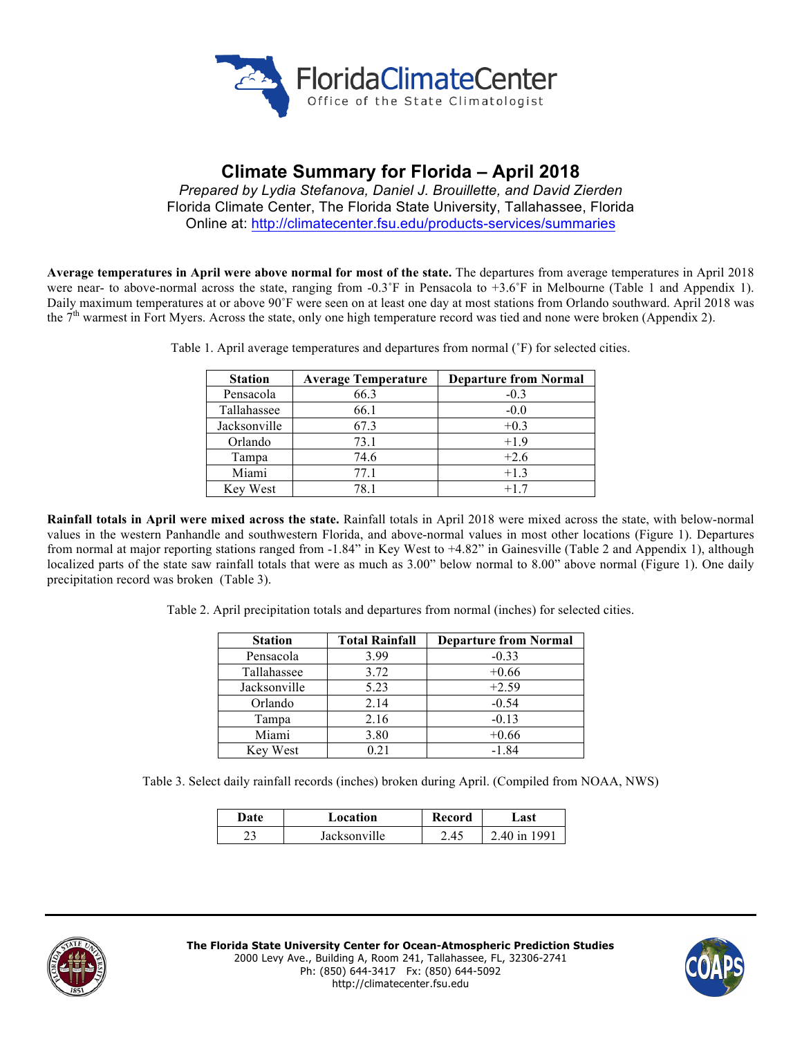

# **Climate Summary for Florida – April 2018**

*Prepared by Lydia Stefanova, Daniel J. Brouillette, and David Zierden* Florida Climate Center, The Florida State University, Tallahassee, Florida Online at: http://climatecenter.fsu.edu/products-services/summaries

**Average temperatures in April were above normal for most of the state.** The departures from average temperatures in April 2018 were near- to above-normal across the state, ranging from  $-0.3^{\circ}F$  in Pensacola to  $+3.6^{\circ}F$  in Melbourne (Table 1 and Appendix 1). Daily maximum temperatures at or above 90˚F were seen on at least one day at most stations from Orlando southward. April 2018 was the 7<sup>th</sup> warmest in Fort Myers. Across the state, only one high temperature record was tied and none were broken (Appendix 2).

| <b>Station</b> | <b>Average Temperature</b> | <b>Departure from Normal</b> |
|----------------|----------------------------|------------------------------|
| Pensacola      | 66.3                       | $-0.3$                       |
| Tallahassee    | 66.1                       | $-0.0$                       |
| Jacksonville   | 67.3                       | $+0.3$                       |
| Orlando        | 73.1                       | $+1.9$                       |
| Tampa          | 74.6                       | $+2.6$                       |
| Miami          | 77.1                       | $+1.3$                       |
| Key West       | 78.1                       | $+17$                        |

Table 1. April average temperatures and departures from normal (˚F) for selected cities.

**Rainfall totals in April were mixed across the state.** Rainfall totals in April 2018 were mixed across the state, with below-normal values in the western Panhandle and southwestern Florida, and above-normal values in most other locations (Figure 1). Departures from normal at major reporting stations ranged from -1.84" in Key West to +4.82" in Gainesville (Table 2 and Appendix 1), although localized parts of the state saw rainfall totals that were as much as 3.00" below normal to 8.00" above normal (Figure 1). One daily precipitation record was broken (Table 3).

Table 2. April precipitation totals and departures from normal (inches) for selected cities.

| <b>Station</b> | <b>Total Rainfall</b> | <b>Departure from Normal</b> |  |
|----------------|-----------------------|------------------------------|--|
| Pensacola      | 3.99                  | $-0.33$                      |  |
| Tallahassee    | 3.72                  | $+0.66$                      |  |
| Jacksonville   | 5.23                  | $+2.59$                      |  |
| Orlando        | 2.14                  | $-0.54$                      |  |
| Tampa          | 2.16                  | $-0.13$                      |  |
| Miami          | 3.80                  | $+0.66$                      |  |
| Key West       | 0.21                  | $-1.84$                      |  |

Table 3. Select daily rainfall records (inches) broken during April. (Compiled from NOAA, NWS)

| Date | Location     | Record | ⊿ast         |
|------|--------------|--------|--------------|
|      | Jacksonville | 2.45   | 2.40 in 1991 |



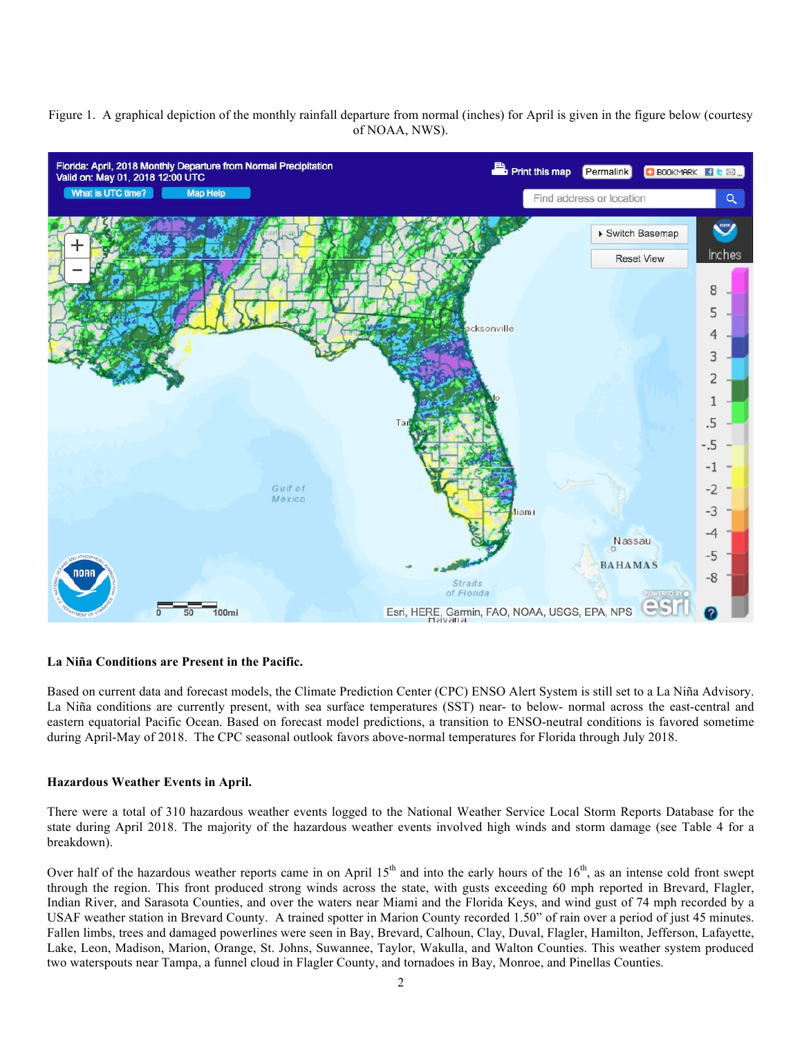Figure 1. A graphical depiction of the monthly rainfall departure from normal (inches) for April is given in the figure below (courtesy of NOAA, NWS).



#### **La Niña Conditions are Present in the Pacific.**

Based on current data and forecast models, the Climate Prediction Center (CPC) ENSO Alert System is still set to a La Niña Advisory. La Niña conditions are currently present, with sea surface temperatures (SST) near- to below- normal across the east-central and eastern equatorial Pacific Ocean. Based on forecast model predictions, a transition to ENSO-neutral conditions is favored sometime during April-May of 2018. The CPC seasonal outlook favors above-normal temperatures for Florida through July 2018.

#### **Hazardous Weather Events in April.**

There were a total of 310 hazardous weather events logged to the National Weather Service Local Storm Reports Database for the state during April 2018. The majority of the hazardous weather events involved high winds and storm damage (see Table 4 for a breakdown).

Over half of the hazardous weather reports came in on April  $15<sup>th</sup>$  and into the early hours of the  $16<sup>th</sup>$ , as an intense cold front swept through the region. This front produced strong winds across the state, with gusts exceeding 60 mph reported in Brevard, Flagler, Indian River, and Sarasota Counties, and over the waters near Miami and the Florida Keys, and wind gust of 74 mph recorded by a USAF weather station in Brevard County. A trained spotter in Marion County recorded 1.50" of rain over a period of just 45 minutes. Fallen limbs, trees and damaged powerlines were seen in Bay, Brevard, Calhoun, Clay, Duval, Flagler, Hamilton, Jefferson, Lafayette, Lake, Leon, Madison, Marion, Orange, St. Johns, Suwannee, Taylor, Wakulla, and Walton Counties. This weather system produced two waterspouts near Tampa, a funnel cloud in Flagler County, and tornadoes in Bay, Monroe, and Pinellas Counties.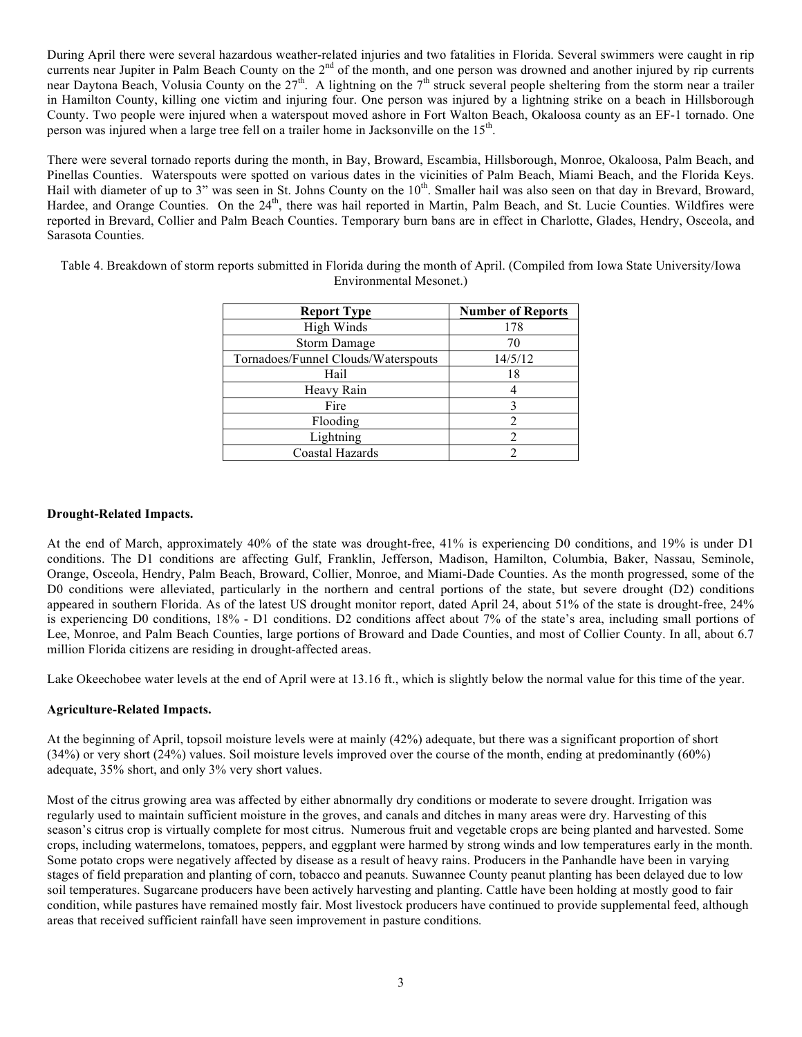During April there were several hazardous weather-related injuries and two fatalities in Florida. Several swimmers were caught in rip currents near Jupiter in Palm Beach County on the 2<sup>nd</sup> of the month, and one person was drowned and another injured by rip currents near Daytona Beach, Volusia County on the  $27<sup>th</sup>$ . A lightning on the  $7<sup>th</sup>$  struck several people sheltering from the storm near a trailer in Hamilton County, killing one victim and injuring four. One person was injured by a lightning strike on a beach in Hillsborough County. Two people were injured when a waterspout moved ashore in Fort Walton Beach, Okaloosa county as an EF-1 tornado. One person was injured when a large tree fell on a trailer home in Jacksonville on the 15<sup>th</sup>.

There were several tornado reports during the month, in Bay, Broward, Escambia, Hillsborough, Monroe, Okaloosa, Palm Beach, and Pinellas Counties. Waterspouts were spotted on various dates in the vicinities of Palm Beach, Miami Beach, and the Florida Keys. Hail with diameter of up to 3" was seen in St. Johns County on the  $10<sup>th</sup>$ . Smaller hail was also seen on that day in Brevard. Broward, Hardee, and Orange Counties. On the 24<sup>th</sup>, there was hail reported in Martin, Palm Beach, and St. Lucie Counties. Wildfires were reported in Brevard, Collier and Palm Beach Counties. Temporary burn bans are in effect in Charlotte, Glades, Hendry, Osceola, and Sarasota Counties.

Table 4. Breakdown of storm reports submitted in Florida during the month of April. (Compiled from Iowa State University/Iowa Environmental Mesonet.)

| <b>Report Type</b>                  | <b>Number of Reports</b> |
|-------------------------------------|--------------------------|
| High Winds                          | 178                      |
| <b>Storm Damage</b>                 | 70                       |
| Tornadoes/Funnel Clouds/Waterspouts | 14/5/12                  |
| Hail                                | 18                       |
| Heavy Rain                          |                          |
| Fire                                |                          |
| Flooding                            |                          |
| Lightning                           |                          |
| Coastal Hazards                     |                          |

### **Drought-Related Impacts.**

At the end of March, approximately 40% of the state was drought-free, 41% is experiencing D0 conditions, and 19% is under D1 conditions. The D1 conditions are affecting Gulf, Franklin, Jefferson, Madison, Hamilton, Columbia, Baker, Nassau, Seminole, Orange, Osceola, Hendry, Palm Beach, Broward, Collier, Monroe, and Miami-Dade Counties. As the month progressed, some of the D0 conditions were alleviated, particularly in the northern and central portions of the state, but severe drought (D2) conditions appeared in southern Florida. As of the latest US drought monitor report, dated April 24, about 51% of the state is drought-free, 24% is experiencing D0 conditions, 18% - D1 conditions. D2 conditions affect about 7% of the state's area, including small portions of Lee, Monroe, and Palm Beach Counties, large portions of Broward and Dade Counties, and most of Collier County. In all, about 6.7 million Florida citizens are residing in drought-affected areas.

Lake Okeechobee water levels at the end of April were at 13.16 ft., which is slightly below the normal value for this time of the year.

## **Agriculture-Related Impacts.**

At the beginning of April, topsoil moisture levels were at mainly (42%) adequate, but there was a significant proportion of short (34%) or very short (24%) values. Soil moisture levels improved over the course of the month, ending at predominantly (60%) adequate, 35% short, and only 3% very short values.

Most of the citrus growing area was affected by either abnormally dry conditions or moderate to severe drought. Irrigation was regularly used to maintain sufficient moisture in the groves, and canals and ditches in many areas were dry. Harvesting of this season's citrus crop is virtually complete for most citrus. Numerous fruit and vegetable crops are being planted and harvested. Some crops, including watermelons, tomatoes, peppers, and eggplant were harmed by strong winds and low temperatures early in the month. Some potato crops were negatively affected by disease as a result of heavy rains. Producers in the Panhandle have been in varying stages of field preparation and planting of corn, tobacco and peanuts. Suwannee County peanut planting has been delayed due to low soil temperatures. Sugarcane producers have been actively harvesting and planting. Cattle have been holding at mostly good to fair condition, while pastures have remained mostly fair. Most livestock producers have continued to provide supplemental feed, although areas that received sufficient rainfall have seen improvement in pasture conditions.